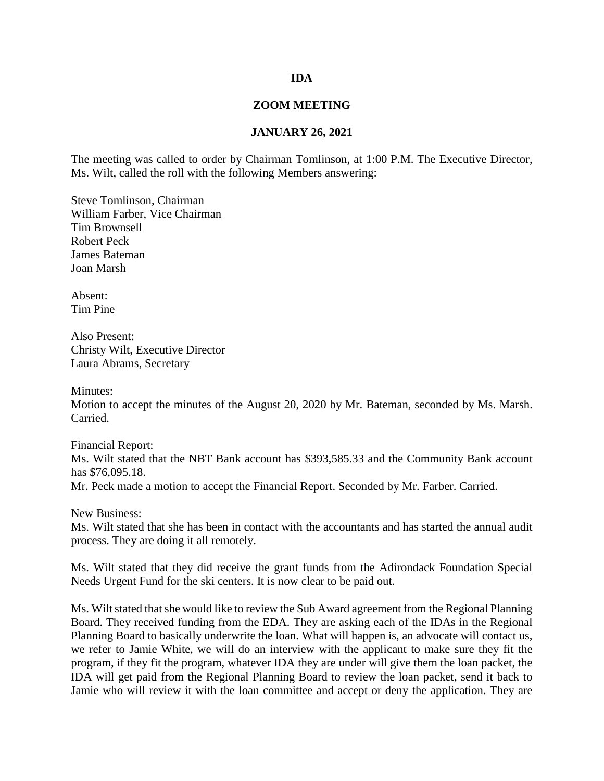## **IDA**

## **ZOOM MEETING**

## **JANUARY 26, 2021**

The meeting was called to order by Chairman Tomlinson, at 1:00 P.M. The Executive Director, Ms. Wilt, called the roll with the following Members answering:

Steve Tomlinson, Chairman William Farber, Vice Chairman Tim Brownsell Robert Peck James Bateman Joan Marsh

Absent: Tim Pine

Also Present: Christy Wilt, Executive Director Laura Abrams, Secretary

Minutes:

Motion to accept the minutes of the August 20, 2020 by Mr. Bateman, seconded by Ms. Marsh. Carried.

Financial Report: Ms. Wilt stated that the NBT Bank account has \$393,585.33 and the Community Bank account has \$76,095.18. Mr. Peck made a motion to accept the Financial Report. Seconded by Mr. Farber. Carried.

New Business: Ms. Wilt stated that she has been in contact with the accountants and has started the annual audit process. They are doing it all remotely.

Ms. Wilt stated that they did receive the grant funds from the Adirondack Foundation Special Needs Urgent Fund for the ski centers. It is now clear to be paid out.

Ms. Wilt stated that she would like to review the Sub Award agreement from the Regional Planning Board. They received funding from the EDA. They are asking each of the IDAs in the Regional Planning Board to basically underwrite the loan. What will happen is, an advocate will contact us, we refer to Jamie White, we will do an interview with the applicant to make sure they fit the program, if they fit the program, whatever IDA they are under will give them the loan packet, the IDA will get paid from the Regional Planning Board to review the loan packet, send it back to Jamie who will review it with the loan committee and accept or deny the application. They are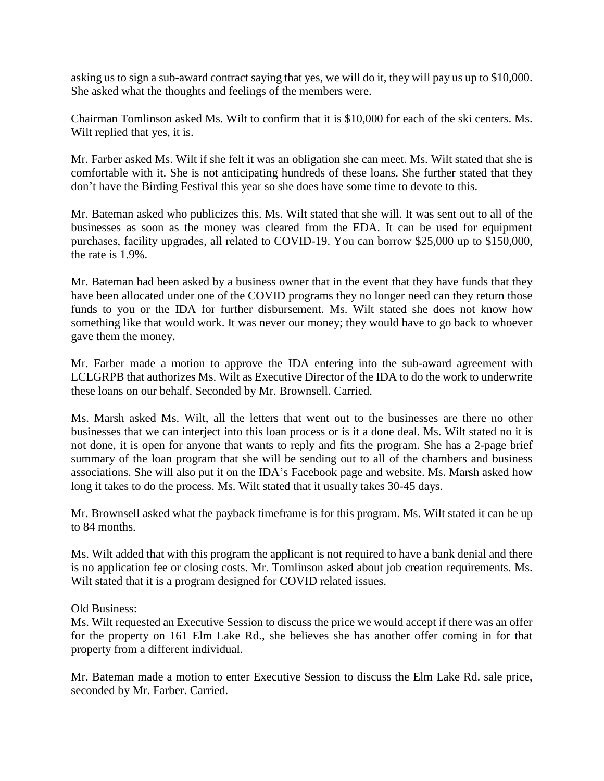asking us to sign a sub-award contract saying that yes, we will do it, they will pay us up to \$10,000. She asked what the thoughts and feelings of the members were.

Chairman Tomlinson asked Ms. Wilt to confirm that it is \$10,000 for each of the ski centers. Ms. Wilt replied that yes, it is.

Mr. Farber asked Ms. Wilt if she felt it was an obligation she can meet. Ms. Wilt stated that she is comfortable with it. She is not anticipating hundreds of these loans. She further stated that they don't have the Birding Festival this year so she does have some time to devote to this.

Mr. Bateman asked who publicizes this. Ms. Wilt stated that she will. It was sent out to all of the businesses as soon as the money was cleared from the EDA. It can be used for equipment purchases, facility upgrades, all related to COVID-19. You can borrow \$25,000 up to \$150,000, the rate is 1.9%.

Mr. Bateman had been asked by a business owner that in the event that they have funds that they have been allocated under one of the COVID programs they no longer need can they return those funds to you or the IDA for further disbursement. Ms. Wilt stated she does not know how something like that would work. It was never our money; they would have to go back to whoever gave them the money.

Mr. Farber made a motion to approve the IDA entering into the sub-award agreement with LCLGRPB that authorizes Ms. Wilt as Executive Director of the IDA to do the work to underwrite these loans on our behalf. Seconded by Mr. Brownsell. Carried.

Ms. Marsh asked Ms. Wilt, all the letters that went out to the businesses are there no other businesses that we can interject into this loan process or is it a done deal. Ms. Wilt stated no it is not done, it is open for anyone that wants to reply and fits the program. She has a 2-page brief summary of the loan program that she will be sending out to all of the chambers and business associations. She will also put it on the IDA's Facebook page and website. Ms. Marsh asked how long it takes to do the process. Ms. Wilt stated that it usually takes 30-45 days.

Mr. Brownsell asked what the payback timeframe is for this program. Ms. Wilt stated it can be up to 84 months.

Ms. Wilt added that with this program the applicant is not required to have a bank denial and there is no application fee or closing costs. Mr. Tomlinson asked about job creation requirements. Ms. Wilt stated that it is a program designed for COVID related issues.

Old Business:

Ms. Wilt requested an Executive Session to discuss the price we would accept if there was an offer for the property on 161 Elm Lake Rd., she believes she has another offer coming in for that property from a different individual.

Mr. Bateman made a motion to enter Executive Session to discuss the Elm Lake Rd. sale price, seconded by Mr. Farber. Carried.